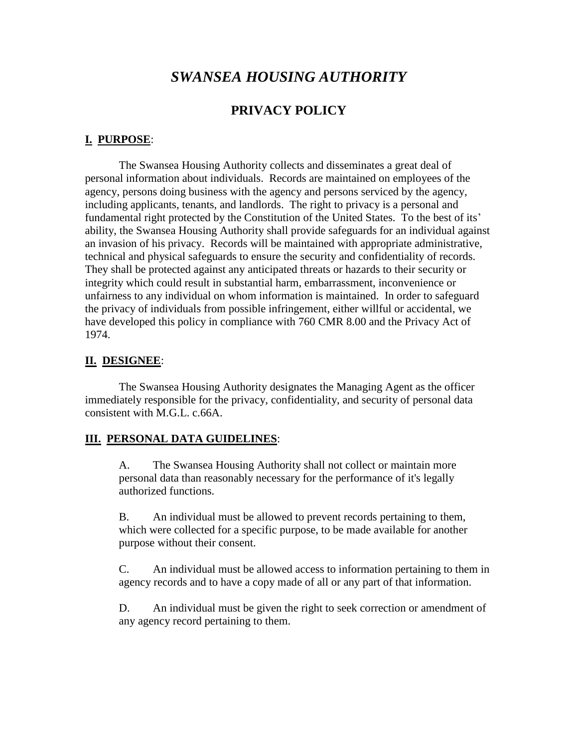# *SWANSEA HOUSING AUTHORITY*

#### **PRIVACY POLICY**

#### **I. PURPOSE**:

The Swansea Housing Authority collects and disseminates a great deal of personal information about individuals. Records are maintained on employees of the agency, persons doing business with the agency and persons serviced by the agency, including applicants, tenants, and landlords. The right to privacy is a personal and fundamental right protected by the Constitution of the United States. To the best of its' ability, the Swansea Housing Authority shall provide safeguards for an individual against an invasion of his privacy. Records will be maintained with appropriate administrative, technical and physical safeguards to ensure the security and confidentiality of records. They shall be protected against any anticipated threats or hazards to their security or integrity which could result in substantial harm, embarrassment, inconvenience or unfairness to any individual on whom information is maintained. In order to safeguard the privacy of individuals from possible infringement, either willful or accidental, we have developed this policy in compliance with 760 CMR 8.00 and the Privacy Act of 1974.

#### **II. DESIGNEE**:

The Swansea Housing Authority designates the Managing Agent as the officer immediately responsible for the privacy, confidentiality, and security of personal data consistent with M.G.L. c.66A.

#### **III. PERSONAL DATA GUIDELINES**:

A. The Swansea Housing Authority shall not collect or maintain more personal data than reasonably necessary for the performance of it's legally authorized functions.

B. An individual must be allowed to prevent records pertaining to them, which were collected for a specific purpose, to be made available for another purpose without their consent.

C. An individual must be allowed access to information pertaining to them in agency records and to have a copy made of all or any part of that information.

D. An individual must be given the right to seek correction or amendment of any agency record pertaining to them.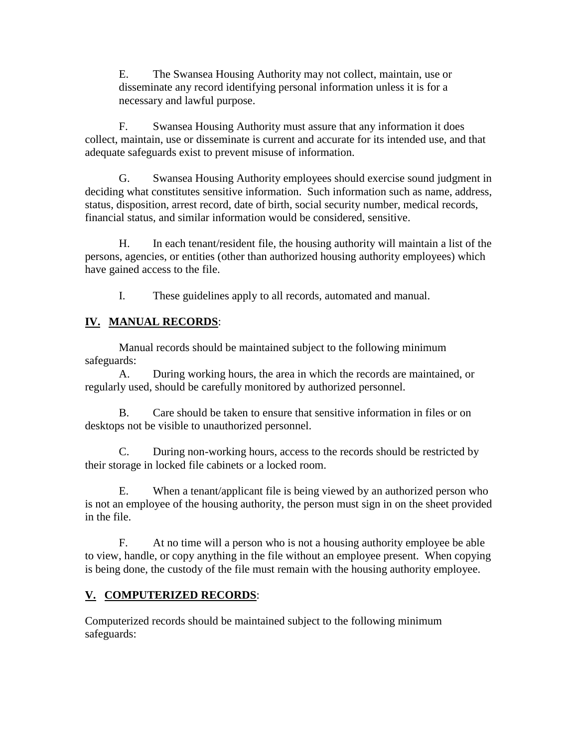E. The Swansea Housing Authority may not collect, maintain, use or disseminate any record identifying personal information unless it is for a necessary and lawful purpose.

F. Swansea Housing Authority must assure that any information it does collect, maintain, use or disseminate is current and accurate for its intended use, and that adequate safeguards exist to prevent misuse of information.

G. Swansea Housing Authority employees should exercise sound judgment in deciding what constitutes sensitive information. Such information such as name, address, status, disposition, arrest record, date of birth, social security number, medical records, financial status, and similar information would be considered, sensitive.

H. In each tenant/resident file, the housing authority will maintain a list of the persons, agencies, or entities (other than authorized housing authority employees) which have gained access to the file.

I. These guidelines apply to all records, automated and manual.

# **IV. MANUAL RECORDS**:

Manual records should be maintained subject to the following minimum safeguards:

A. During working hours, the area in which the records are maintained, or regularly used, should be carefully monitored by authorized personnel.

B. Care should be taken to ensure that sensitive information in files or on desktops not be visible to unauthorized personnel.

C. During non-working hours, access to the records should be restricted by their storage in locked file cabinets or a locked room.

E. When a tenant/applicant file is being viewed by an authorized person who is not an employee of the housing authority, the person must sign in on the sheet provided in the file.

F. At no time will a person who is not a housing authority employee be able to view, handle, or copy anything in the file without an employee present. When copying is being done, the custody of the file must remain with the housing authority employee.

# **V. COMPUTERIZED RECORDS**:

Computerized records should be maintained subject to the following minimum safeguards: